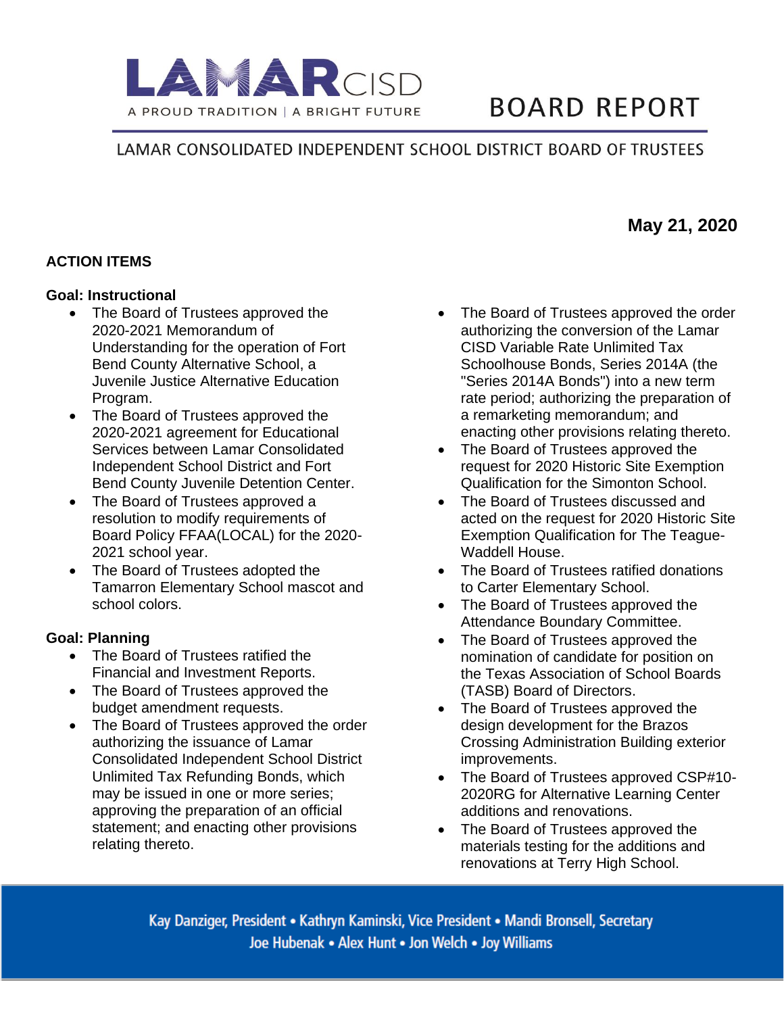

# **BOARD REPORT**

## LAMAR CONSOLIDATED INDEPENDENT SCHOOL DISTRICT BOARD OF TRUSTEES

## **ACTION ITEMS**

#### **Goal: Instructional**

- The Board of Trustees approved the 2020-2021 Memorandum of Understanding for the operation of Fort Bend County Alternative School, a Juvenile Justice Alternative Education Program.
- The Board of Trustees approved the 2020-2021 agreement for Educational Services between Lamar Consolidated Independent School District and Fort Bend County Juvenile Detention Center.
- The Board of Trustees approved a resolution to modify requirements of Board Policy FFAA(LOCAL) for the 2020- 2021 school year.
- The Board of Trustees adopted the Tamarron Elementary School mascot and school colors.

#### **Goal: Planning**

- The Board of Trustees ratified the Financial and Investment Reports.
- The Board of Trustees approved the budget amendment requests.
- The Board of Trustees approved the order authorizing the issuance of Lamar Consolidated Independent School District Unlimited Tax Refunding Bonds, which may be issued in one or more series; approving the preparation of an official statement; and enacting other provisions relating thereto.
- The Board of Trustees approved the order authorizing the conversion of the Lamar CISD Variable Rate Unlimited Tax Schoolhouse Bonds, Series 2014A (the "Series 2014A Bonds") into a new term rate period; authorizing the preparation of a remarketing memorandum; and enacting other provisions relating thereto.
- The Board of Trustees approved the request for 2020 Historic Site Exemption Qualification for the Simonton School.
- The Board of Trustees discussed and acted on the request for 2020 Historic Site Exemption Qualification for The Teague-Waddell House.
- The Board of Trustees ratified donations to Carter Elementary School.
- The Board of Trustees approved the Attendance Boundary Committee.
- The Board of Trustees approved the nomination of candidate for position on the Texas Association of School Boards (TASB) Board of Directors.
- The Board of Trustees approved the design development for the Brazos Crossing Administration Building exterior improvements.
- The Board of Trustees approved CSP#10- 2020RG for Alternative Learning Center additions and renovations.
- The Board of Trustees approved the materials testing for the additions and renovations at Terry High School.

Kay Danziger, President • Kathryn Kaminski, Vice President • Mandi Bronsell, Secretary Joe Hubenak • Alex Hunt • Jon Welch • Joy Williams

# **May 21, 2020**